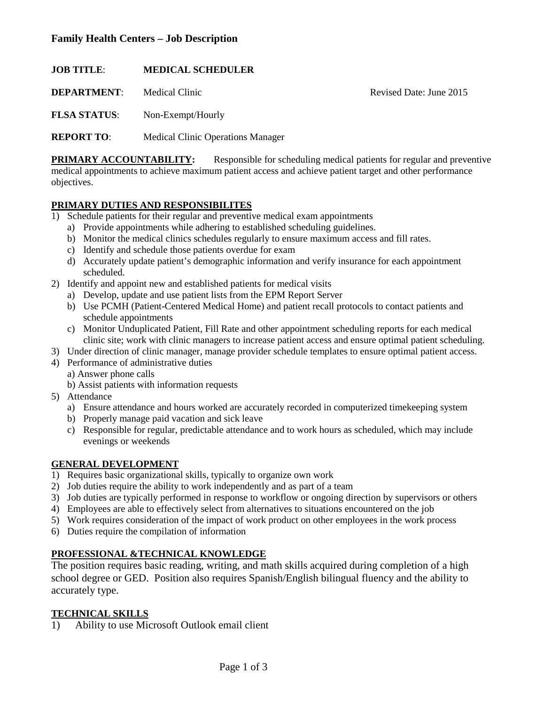## **Family Health Centers – Job Description**

**JOB TITLE**: **MEDICAL SCHEDULER** 

**DEPARTMENT:** Medical Clinic Medical According Revised Date: June 2015

**FLSA STATUS**: Non-Exempt/Hourly

**REPORT TO:** Medical Clinic Operations Manager

**PRIMARY ACCOUNTABILITY:** Responsible for scheduling medical patients for regular and preventive medical appointments to achieve maximum patient access and achieve patient target and other performance objectives.

## **PRIMARY DUTIES AND RESPONSIBILITES**

- 1) Schedule patients for their regular and preventive medical exam appointments
	- a) Provide appointments while adhering to established scheduling guidelines.
	- b) Monitor the medical clinics schedules regularly to ensure maximum access and fill rates.
	- c) Identify and schedule those patients overdue for exam
	- d) Accurately update patient's demographic information and verify insurance for each appointment scheduled.
- 2) Identify and appoint new and established patients for medical visits
	- a) Develop, update and use patient lists from the EPM Report Server
	- b) Use PCMH (Patient-Centered Medical Home) and patient recall protocols to contact patients and schedule appointments
	- c) Monitor Unduplicated Patient, Fill Rate and other appointment scheduling reports for each medical clinic site; work with clinic managers to increase patient access and ensure optimal patient scheduling.
- 3) Under direction of clinic manager, manage provider schedule templates to ensure optimal patient access.
- 4) Performance of administrative duties
	- a) Answer phone calls
	- b) Assist patients with information requests
- 5) Attendance
	- a) Ensure attendance and hours worked are accurately recorded in computerized timekeeping system
	- b) Properly manage paid vacation and sick leave
	- c) Responsible for regular, predictable attendance and to work hours as scheduled, which may include evenings or weekends

#### **GENERAL DEVELOPMENT**

- 1) Requires basic organizational skills, typically to organize own work
- 2) Job duties require the ability to work independently and as part of a team
- 3) Job duties are typically performed in response to workflow or ongoing direction by supervisors or others
- 4) Employees are able to effectively select from alternatives to situations encountered on the job
- 5) Work requires consideration of the impact of work product on other employees in the work process
- 6) Duties require the compilation of information

#### **PROFESSIONAL &TECHNICAL KNOWLEDGE**

The position requires basic reading, writing, and math skills acquired during completion of a high school degree or GED. Position also requires Spanish/English bilingual fluency and the ability to accurately type.

## **TECHNICAL SKILLS**

1) Ability to use Microsoft Outlook email client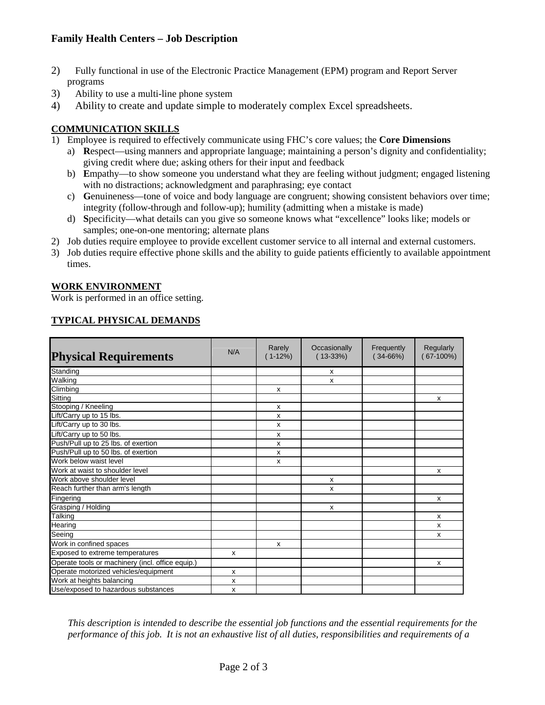# **Family Health Centers – Job Description**

- 2) Fully functional in use of the Electronic Practice Management (EPM) program and Report Server programs
- 3) Ability to use a multi-line phone system
- 4) Ability to create and update simple to moderately complex Excel spreadsheets.

# **COMMUNICATION SKILLS**

- 1) Employee is required to effectively communicate using FHC's core values; the **Core Dimensions**
	- a) **R**espect—using manners and appropriate language; maintaining a person's dignity and confidentiality; giving credit where due; asking others for their input and feedback
	- b) **E**mpathy—to show someone you understand what they are feeling without judgment; engaged listening with no distractions; acknowledgment and paraphrasing; eye contact
	- c) **G**enuineness—tone of voice and body language are congruent; showing consistent behaviors over time; integrity (follow-through and follow-up); humility (admitting when a mistake is made)
	- d) **S**pecificity—what details can you give so someone knows what "excellence" looks like; models or samples; one-on-one mentoring; alternate plans
- 2) Job duties require employee to provide excellent customer service to all internal and external customers.
- 3) Job duties require effective phone skills and the ability to guide patients efficiently to available appointment times.

# **WORK ENVIRONMENT**

Work is performed in an office setting.

# **TYPICAL PHYSICAL DEMANDS**

| <b>Physical Requirements</b>                     | N/A | Rarely<br>$(1-12%)$ | Occasionally<br>$(13-33%)$ | Frequently<br>$(34-66%)$ | Regularly<br>$(67-100%)$ |
|--------------------------------------------------|-----|---------------------|----------------------------|--------------------------|--------------------------|
| Standing                                         |     |                     | x                          |                          |                          |
| Walking                                          |     |                     | x                          |                          |                          |
| Climbing                                         |     | X                   |                            |                          |                          |
| Sitting                                          |     |                     |                            |                          | x                        |
| Stooping / Kneeling                              |     | X                   |                            |                          |                          |
| Lift/Carry up to 15 lbs.                         |     | x                   |                            |                          |                          |
| Lift/Carry up to 30 lbs.                         |     | X                   |                            |                          |                          |
| Lift/Carry up to 50 lbs.                         |     | X                   |                            |                          |                          |
| Push/Pull up to 25 lbs. of exertion              |     | X                   |                            |                          |                          |
| Push/Pull up to 50 lbs. of exertion              |     | X                   |                            |                          |                          |
| Work below waist level                           |     | X                   |                            |                          |                          |
| Work at waist to shoulder level                  |     |                     |                            |                          | X                        |
| Work above shoulder level                        |     |                     | x                          |                          |                          |
| Reach further than arm's length                  |     |                     | x                          |                          |                          |
| Fingering                                        |     |                     |                            |                          | X                        |
| Grasping / Holding                               |     |                     | x                          |                          |                          |
| Talking                                          |     |                     |                            |                          | X                        |
| Hearing                                          |     |                     |                            |                          | X                        |
| Seeing                                           |     |                     |                            |                          | x                        |
| Work in confined spaces                          |     | X                   |                            |                          |                          |
| Exposed to extreme temperatures                  | x   |                     |                            |                          |                          |
| Operate tools or machinery (incl. office equip.) |     |                     |                            |                          | X                        |
| Operate motorized vehicles/equipment             | X   |                     |                            |                          |                          |
| Work at heights balancing                        | x   |                     |                            |                          |                          |
| Use/exposed to hazardous substances              | x   |                     |                            |                          |                          |

*This description is intended to describe the essential job functions and the essential requirements for the performance of this job. It is not an exhaustive list of all duties, responsibilities and requirements of a*